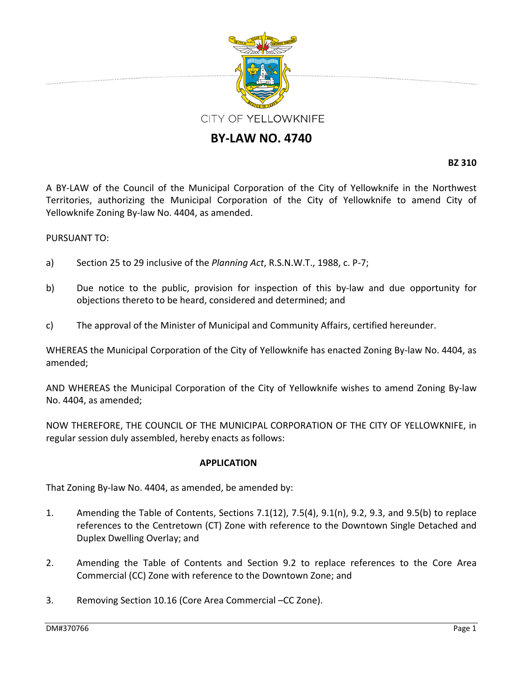

## **BY‐LAW NO. 4740**

**BZ 310**

A BY‐LAW of the Council of the Municipal Corporation of the City of Yellowknife in the Northwest Territories, authorizing the Municipal Corporation of the City of Yellowknife to amend City of Yellowknife Zoning By‐law No. 4404, as amended.

## PURSUANT TO:

- a) Section 25 to 29 inclusive of the *Planning Act*, R.S.N.W.T., 1988, c. P‐7;
- b) Due notice to the public, provision for inspection of this by-law and due opportunity for objections thereto to be heard, considered and determined; and
- c) The approval of the Minister of Municipal and Community Affairs, certified hereunder.

WHEREAS the Municipal Corporation of the City of Yellowknife has enacted Zoning By‐law No. 4404, as amended;

AND WHEREAS the Municipal Corporation of the City of Yellowknife wishes to amend Zoning By‐law No. 4404, as amended;

NOW THEREFORE, THE COUNCIL OF THE MUNICIPAL CORPORATION OF THE CITY OF YELLOWKNIFE, in regular session duly assembled, hereby enacts as follows:

## **APPLICATION**

That Zoning By‐law No. 4404, as amended, be amended by:

- 1. Amending the Table of Contents, Sections 7.1(12), 7.5(4), 9.1(n), 9.2, 9.3, and 9.5(b) to replace references to the Centretown (CT) Zone with reference to the Downtown Single Detached and Duplex Dwelling Overlay; and
- 2. Amending the Table of Contents and Section 9.2 to replace references to the Core Area Commercial (CC) Zone with reference to the Downtown Zone; and
- 3. Removing Section 10.16 (Core Area Commercial –CC Zone).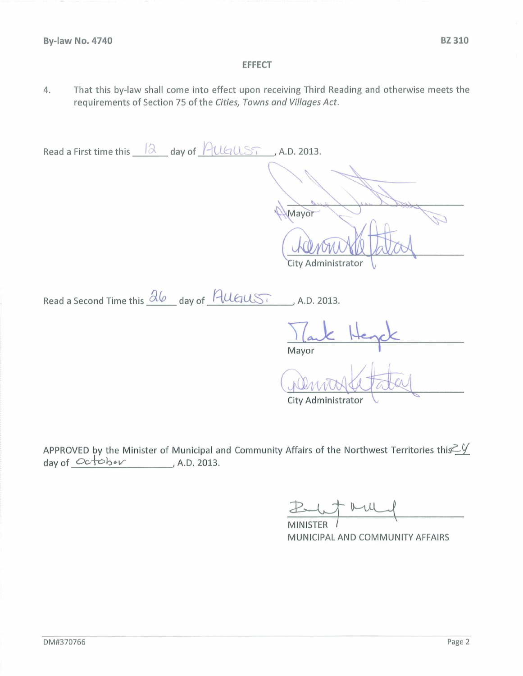## **EFFECT**

That this by-law shall come into effect upon receiving Third Reading and otherwise meets the 4. requirements of Section 75 of the Cities, Towns and Villages Act.

Read a First time this  $\sqrt{a}$  day of  $\sqrt{2(15)}$ , A.D. 2013. Mayor City Administrator Read a Second Time this  $\frac{\partial \varphi}{\partial x}$  day of  $\frac{\partial \varphi}{\partial x}$ , A.D. 2013. Mavor City Administrator

APPROVED by the Minister of Municipal and Community Affairs of the Northwest Territories this  $\leq$ day of  $Octobev$ , A.D. 2013.

FRU **MINISTER** 

MUNICIPAL AND COMMUNITY AFFAIRS